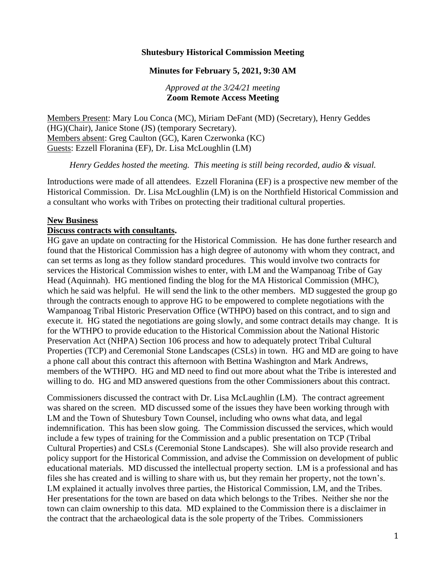## **Shutesbury Historical Commission Meeting**

### **Minutes for February 5, 2021, 9:30 AM**

### *Approved at the 3/24/21 meeting* **Zoom Remote Access Meeting**

Members Present: Mary Lou Conca (MC), Miriam DeFant (MD) (Secretary), Henry Geddes (HG)(Chair), Janice Stone (JS) (temporary Secretary). Members absent: Greg Caulton (GC), Karen Czerwonka (KC) Guests: Ezzell Floranina (EF), Dr. Lisa McLoughlin (LM)

*Henry Geddes hosted the meeting. This meeting is still being recorded, audio & visual.*

Introductions were made of all attendees. Ezzell Floranina (EF) is a prospective new member of the Historical Commission. Dr. Lisa McLoughlin (LM) is on the Northfield Historical Commission and a consultant who works with Tribes on protecting their traditional cultural properties.

#### **New Business**

#### **Discuss contracts with consultants.**

HG gave an update on contracting for the Historical Commission. He has done further research and found that the Historical Commission has a high degree of autonomy with whom they contract, and can set terms as long as they follow standard procedures. This would involve two contracts for services the Historical Commission wishes to enter, with LM and the Wampanoag Tribe of Gay Head (Aquinnah). HG mentioned finding the blog for the MA Historical Commission (MHC), which he said was helpful. He will send the link to the other members. MD suggested the group go through the contracts enough to approve HG to be empowered to complete negotiations with the Wampanoag Tribal Historic Preservation Office (WTHPO) based on this contract, and to sign and execute it. HG stated the negotiations are going slowly, and some contract details may change. It is for the WTHPO to provide education to the Historical Commission about the National Historic Preservation Act (NHPA) Section 106 process and how to adequately protect Tribal Cultural Properties (TCP) and Ceremonial Stone Landscapes (CSLs) in town. HG and MD are going to have a phone call about this contract this afternoon with Bettina Washington and Mark Andrews, members of the WTHPO. HG and MD need to find out more about what the Tribe is interested and willing to do. HG and MD answered questions from the other Commissioners about this contract.

Commissioners discussed the contract with Dr. Lisa McLaughlin (LM). The contract agreement was shared on the screen. MD discussed some of the issues they have been working through with LM and the Town of Shutesbury Town Counsel, including who owns what data, and legal indemnification. This has been slow going. The Commission discussed the services, which would include a few types of training for the Commission and a public presentation on TCP (Tribal Cultural Properties) and CSLs (Ceremonial Stone Landscapes). She will also provide research and policy support for the Historical Commission, and advise the Commission on development of public educational materials. MD discussed the intellectual property section. LM is a professional and has files she has created and is willing to share with us, but they remain her property, not the town's. LM explained it actually involves three parties, the Historical Commission, LM, and the Tribes. Her presentations for the town are based on data which belongs to the Tribes. Neither she nor the town can claim ownership to this data. MD explained to the Commission there is a disclaimer in the contract that the archaeological data is the sole property of the Tribes. Commissioners